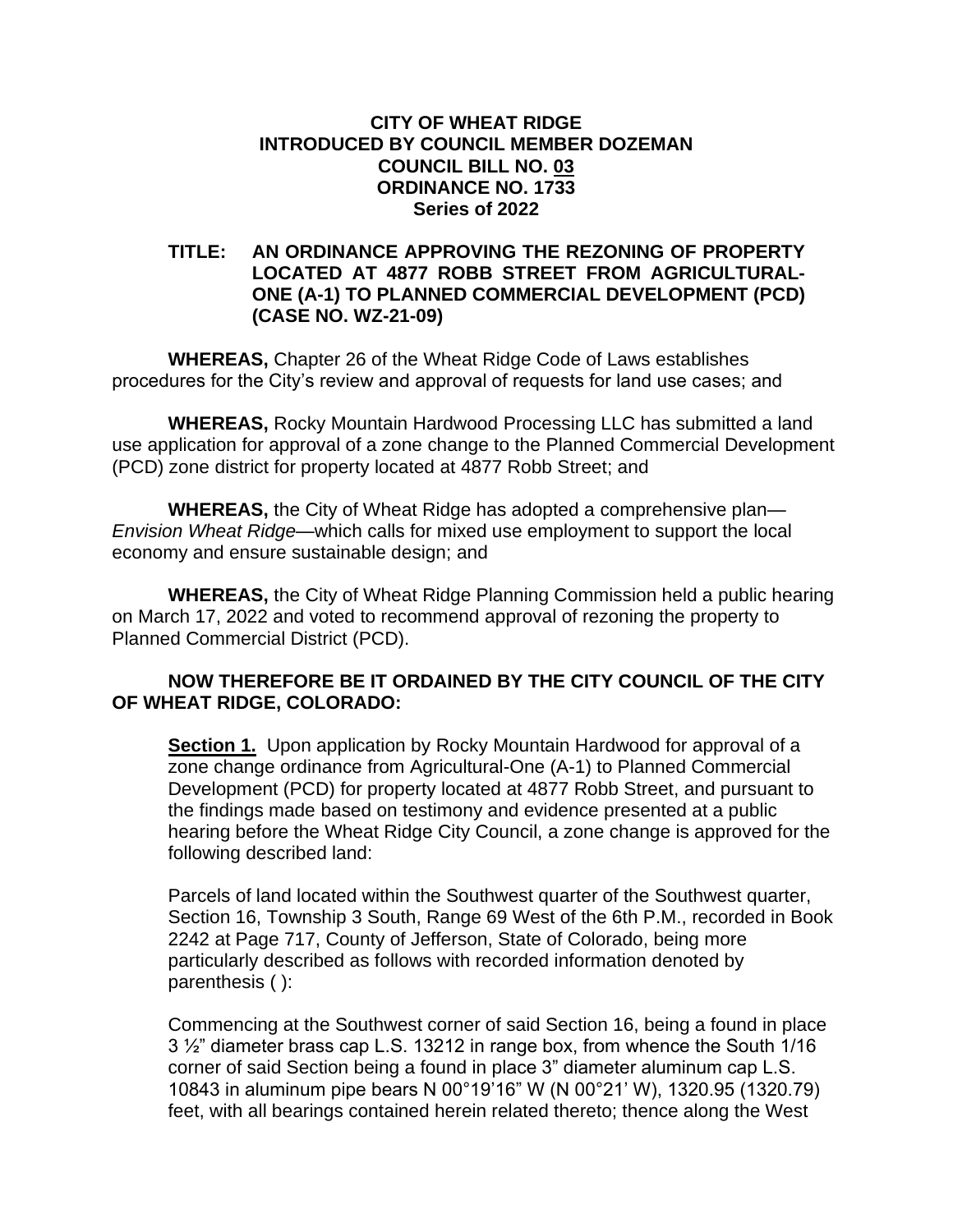## **CITY OF WHEAT RIDGE INTRODUCED BY COUNCIL MEMBER DOZEMAN COUNCIL BILL NO. 03 ORDINANCE NO. 1733 Series of 2022**

## **TITLE: AN ORDINANCE APPROVING THE REZONING OF PROPERTY LOCATED AT 4877 ROBB STREET FROM AGRICULTURAL-ONE (A-1) TO PLANNED COMMERCIAL DEVELOPMENT (PCD) (CASE NO. WZ-21-09)**

**WHEREAS,** Chapter 26 of the Wheat Ridge Code of Laws establishes procedures for the City's review and approval of requests for land use cases; and

**WHEREAS,** Rocky Mountain Hardwood Processing LLC has submitted a land use application for approval of a zone change to the Planned Commercial Development (PCD) zone district for property located at 4877 Robb Street; and

**WHEREAS,** the City of Wheat Ridge has adopted a comprehensive plan— *Envision Wheat Ridge—*which calls for mixed use employment to support the local economy and ensure sustainable design; and

**WHEREAS,** the City of Wheat Ridge Planning Commission held a public hearing on March 17, 2022 and voted to recommend approval of rezoning the property to Planned Commercial District (PCD).

## **NOW THEREFORE BE IT ORDAINED BY THE CITY COUNCIL OF THE CITY OF WHEAT RIDGE, COLORADO:**

**Section 1.** Upon application by Rocky Mountain Hardwood for approval of a zone change ordinance from Agricultural-One (A-1) to Planned Commercial Development (PCD) for property located at 4877 Robb Street, and pursuant to the findings made based on testimony and evidence presented at a public hearing before the Wheat Ridge City Council, a zone change is approved for the following described land:

Parcels of land located within the Southwest quarter of the Southwest quarter, Section 16, Township 3 South, Range 69 West of the 6th P.M., recorded in Book 2242 at Page 717, County of Jefferson, State of Colorado, being more particularly described as follows with recorded information denoted by parenthesis ( ):

Commencing at the Southwest corner of said Section 16, being a found in place 3 ½" diameter brass cap L.S. 13212 in range box, from whence the South 1/16 corner of said Section being a found in place 3" diameter aluminum cap L.S. 10843 in aluminum pipe bears N 00°19'16" W (N 00°21' W), 1320.95 (1320.79) feet, with all bearings contained herein related thereto; thence along the West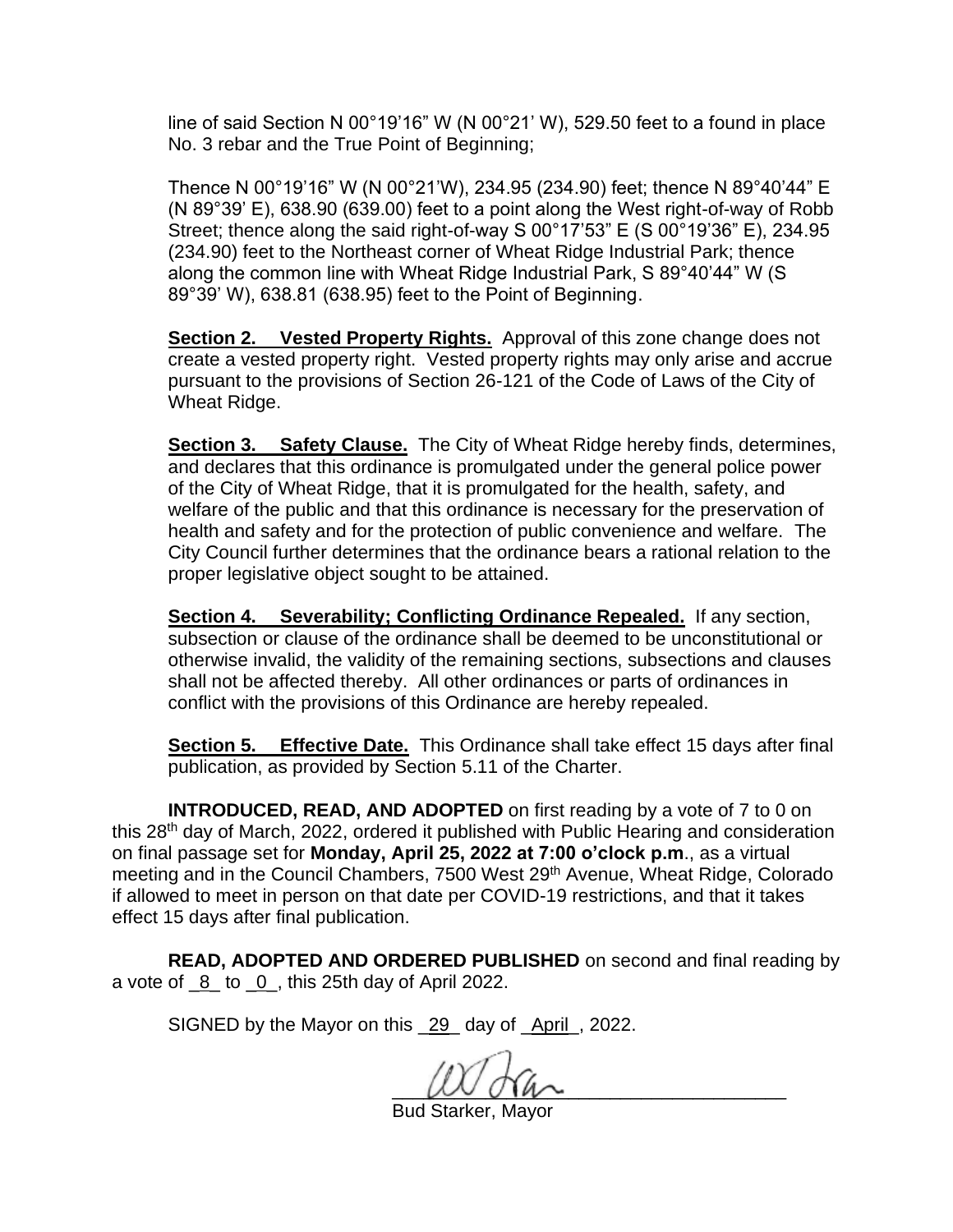line of said Section N 00°19'16" W (N 00°21' W), 529.50 feet to a found in place No. 3 rebar and the True Point of Beginning;

Thence N 00°19'16" W (N 00°21'W), 234.95 (234.90) feet; thence N 89°40'44" E (N 89°39' E), 638.90 (639.00) feet to a point along the West right-of-way of Robb Street; thence along the said right-of-way S 00°17'53" E (S 00°19'36" E), 234.95 (234.90) feet to the Northeast corner of Wheat Ridge Industrial Park; thence along the common line with Wheat Ridge Industrial Park, S 89°40'44" W (S 89°39' W), 638.81 (638.95) feet to the Point of Beginning.

**Section 2. Vested Property Rights.** Approval of this zone change does not create a vested property right. Vested property rights may only arise and accrue pursuant to the provisions of Section 26-121 of the Code of Laws of the City of Wheat Ridge.

**Section 3. Safety Clause.** The City of Wheat Ridge hereby finds, determines, and declares that this ordinance is promulgated under the general police power of the City of Wheat Ridge, that it is promulgated for the health, safety, and welfare of the public and that this ordinance is necessary for the preservation of health and safety and for the protection of public convenience and welfare. The City Council further determines that the ordinance bears a rational relation to the proper legislative object sought to be attained.

**Section 4. Severability; Conflicting Ordinance Repealed.** If any section, subsection or clause of the ordinance shall be deemed to be unconstitutional or otherwise invalid, the validity of the remaining sections, subsections and clauses shall not be affected thereby. All other ordinances or parts of ordinances in conflict with the provisions of this Ordinance are hereby repealed.

**Section 5. Effective Date.** This Ordinance shall take effect 15 days after final publication, as provided by Section 5.11 of the Charter.

**INTRODUCED, READ, AND ADOPTED** on first reading by a vote of 7 to 0 on this 28<sup>th</sup> day of March, 2022, ordered it published with Public Hearing and consideration on final passage set for **Monday, April 25, 2022 at 7:00 o'clock p.m**., as a virtual meeting and in the Council Chambers, 7500 West 29<sup>th</sup> Avenue, Wheat Ridge, Colorado if allowed to meet in person on that date per COVID-19 restrictions, and that it takes effect 15 days after final publication.

**READ, ADOPTED AND ORDERED PUBLISHED** on second and final reading by a vote of  $8$  to  $0$ , this 25th day of April 2022.

SIGNED by the Mayor on this \_29\_ day of \_April\_, 2022.

 $\omega$  on  $\omega$ 

Bud Starker, Mayor